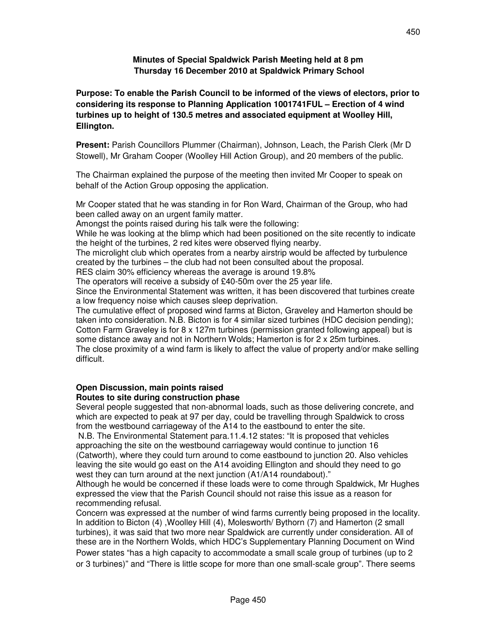## **Minutes of Special Spaldwick Parish Meeting held at 8 pm Thursday 16 December 2010 at Spaldwick Primary School**

**Purpose: To enable the Parish Council to be informed of the views of electors, prior to considering its response to Planning Application 1001741FUL – Erection of 4 wind turbines up to height of 130.5 metres and associated equipment at Woolley Hill, Ellington.** 

**Present:** Parish Councillors Plummer (Chairman), Johnson, Leach, the Parish Clerk (Mr D Stowell), Mr Graham Cooper (Woolley Hill Action Group), and 20 members of the public.

The Chairman explained the purpose of the meeting then invited Mr Cooper to speak on behalf of the Action Group opposing the application.

Mr Cooper stated that he was standing in for Ron Ward, Chairman of the Group, who had been called away on an urgent family matter.

Amongst the points raised during his talk were the following:

While he was looking at the blimp which had been positioned on the site recently to indicate the height of the turbines, 2 red kites were observed flying nearby.

The microlight club which operates from a nearby airstrip would be affected by turbulence created by the turbines – the club had not been consulted about the proposal.

RES claim 30% efficiency whereas the average is around 19.8%

The operators will receive a subsidy of £40-50m over the 25 year life.

Since the Environmental Statement was written, it has been discovered that turbines create a low frequency noise which causes sleep deprivation.

The cumulative effect of proposed wind farms at Bicton, Graveley and Hamerton should be taken into consideration. N.B. Bicton is for 4 similar sized turbines (HDC decision pending); Cotton Farm Graveley is for 8 x 127m turbines (permission granted following appeal) but is some distance away and not in Northern Wolds; Hamerton is for 2 x 25m turbines. The close proximity of a wind farm is likely to affect the value of property and/or make selling difficult.

## **Open Discussion, main points raised**

## **Routes to site during construction phase**

Several people suggested that non-abnormal loads, such as those delivering concrete, and which are expected to peak at 97 per day, could be travelling through Spaldwick to cross from the westbound carriageway of the A14 to the eastbound to enter the site. N.B. The Environmental Statement para.11.4.12 states: "It is proposed that vehicles

approaching the site on the westbound carriageway would continue to junction 16 (Catworth), where they could turn around to come eastbound to junction 20. Also vehicles leaving the site would go east on the A14 avoiding Ellington and should they need to go west they can turn around at the next junction (A1/A14 roundabout)."

Although he would be concerned if these loads were to come through Spaldwick, Mr Hughes expressed the view that the Parish Council should not raise this issue as a reason for recommending refusal.

Concern was expressed at the number of wind farms currently being proposed in the locality. In addition to Bicton (4) ,Woolley Hill (4), Molesworth/ Bythorn (7) and Hamerton (2 small turbines), it was said that two more near Spaldwick are currently under consideration. All of these are in the Northern Wolds, which HDC's Supplementary Planning Document on Wind Power states "has a high capacity to accommodate a small scale group of turbines (up to 2 or 3 turbines)" and "There is little scope for more than one small-scale group". There seems